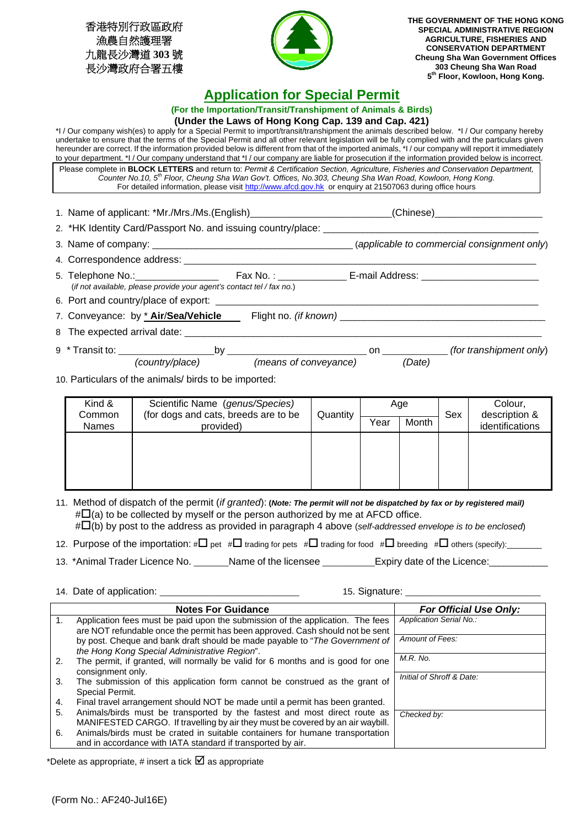香港特別行政區政府 漁農自然護理署 九龍長沙灣道 **303** 號 長沙灣政府合署五樓



**THE GOVERNMENT OF THE HONG KONG SPECIAL ADMINISTRATIVE REGION AGRICULTURE, FISHERIES AND CONSERVATION DEPARTMENT Cheung Sha Wan Government Offices 303 Cheung Sha Wan Road 5th Floor, Kowloon, Hong Kong.** 

## **Application for Special Permit**

**(For the Importation/Transit/Transhipment of Animals & Birds)** 

## **(Under the Laws of Hong Kong Cap. 139 and Cap. 421)**

\*I / Our company wish(es) to apply for a Special Permit to import/transit/transhipment the animals described below. \*I / Our company hereby undertake to ensure that the terms of the Special Permit and all other relevant legislation will be fully complied with and the particulars given hereunder are correct. If the information provided below is different from that of the imported animals, \*I / our company will report it immediately to your department. \*I / Our company understand that \*I / our company are liable for prosecution if the information provided below is incorrect. Please complete in **BLOCK LETTERS** and return to: *Permit & Certification Section, Agriculture, Fisheries and Conservation Department, Counter No.10, 5th Floor, Cheung Sha Wan Gov't. Offices, No.303, Cheung Sha Wan Road, Kowloon, Hong Kong.* For detailed information, please visit http://www.afcd.gov.hk or enquiry at 21507063 during office hours

| 1. Name of applicant: *Mr./Mrs./Ms.(English)_ |  |  |  |  | (Chinese) |  |  |
|-----------------------------------------------|--|--|--|--|-----------|--|--|
|                                               |  |  |  |  |           |  |  |

| 2. This identity Card/Passport No. and issuing country/place. |                                             |
|---------------------------------------------------------------|---------------------------------------------|
| 3. Name of company:                                           | (applicable to commercial consignment only) |

- 4. Correspondence address: \_\_\_\_\_\_\_\_\_\_\_\_\_\_\_\_\_\_\_\_\_\_\_\_\_\_\_\_\_\_\_\_\_\_\_\_\_\_\_\_\_\_\_\_\_\_\_\_\_\_\_\_\_\_\_\_\_\_\_\_\_\_\_\_\_\_\_\_\_\_\_\_
- 5. Telephone No.: <br>
Fax No. : 
Fax No. : 
E-mail Address: (*if not available, please provide your agent's contact tel / fax no.*)
- 6. Port and country/place of export:

7. Conveyance: by \* **Air**/**Sea/Vehicle** Flight no. *(if known)* \_\_\_\_\_\_\_\_\_\_\_\_\_\_\_\_\_\_\_\_\_\_\_\_\_\_\_\_\_\_\_\_\_\_\_\_\_\_\_\_\_\_

8 The expected arrival date: \_\_\_\_

9 \* Transit to: \_\_\_\_\_\_\_\_\_\_\_\_\_\_\_\_\_\_\_\_\_\_by \_\_\_\_\_\_\_\_\_\_\_\_\_\_\_\_\_\_\_\_\_\_\_\_\_\_\_\_\_\_\_\_ on \_\_\_\_\_\_\_\_\_\_\_\_\_\_\_ *(for transhipment only*) *(country/place) (means of conveyance) (Date)*

10. Particulars of the animals/ birds to be imported:

| Kind &<br>Common | Scientific Name (genus/Species)<br>(for dogs and cats, breeds are to be | Quantity | Age  |       | Sex | Colour,<br>description & |  |
|------------------|-------------------------------------------------------------------------|----------|------|-------|-----|--------------------------|--|
| Names            | provided)                                                               |          | Year | Month |     | identifications          |  |
|                  |                                                                         |          |      |       |     |                          |  |
|                  |                                                                         |          |      |       |     |                          |  |
|                  |                                                                         |          |      |       |     |                          |  |
|                  |                                                                         |          |      |       |     |                          |  |

11. Method of dispatch of the permit (*if granted*): **(***Note: The permit will not be dispatched by fax or by registered mail)*   $\sharp\Box$ (a) to be collected by myself or the person authorized by me at AFCD office. #(b) by post to the address as provided in paragraph 4 above (*self-addressed envelope is to be enclosed*)

12. Purpose of the importation:  $\#\Box$  pet  $\#\Box$  trading for pets  $\#\Box$  trading for food  $\#\Box$  breeding  $\#\Box$  others (specify):

15. Signature: **We applicate the signal state of a** 

13. \*Animal Trader Licence No. \_\_\_\_\_\_\_\_Name of the licensee \_\_\_\_\_\_\_\_\_\_\_\_\_Expiry date of the Licence:

|  | 14. Date of application: |  |
|--|--------------------------|--|
|--|--------------------------|--|

|    | <b>Notes For Guidance</b>                                                       | <b>For Official Use Only:</b> |
|----|---------------------------------------------------------------------------------|-------------------------------|
| 1. | Application fees must be paid upon the submission of the application. The fees  | Application Serial No.:       |
|    | are NOT refundable once the permit has been approved. Cash should not be sent   |                               |
|    | by post. Cheque and bank draft should be made payable to "The Government of     | Amount of Fees:               |
|    | the Hong Kong Special Administrative Region".                                   |                               |
| 2. | The permit, if granted, will normally be valid for 6 months and is good for one | M.R. No.                      |
|    | consignment only.                                                               |                               |
| 3. | The submission of this application form cannot be construed as the grant of     | Initial of Shroff & Date:     |
|    | Special Permit.                                                                 |                               |
| 4. | Final travel arrangement should NOT be made until a permit has been granted.    |                               |
| 5. | Animals/birds must be transported by the fastest and most direct route as       | Checked by:                   |
|    | MANIFESTED CARGO. If travelling by air they must be covered by an air waybill.  |                               |
| 6. | Animals/birds must be crated in suitable containers for humane transportation   |                               |
|    | and in accordance with IATA standard if transported by air.                     |                               |

\*Delete as appropriate, # insert a tick  $\boxtimes$  as appropriate